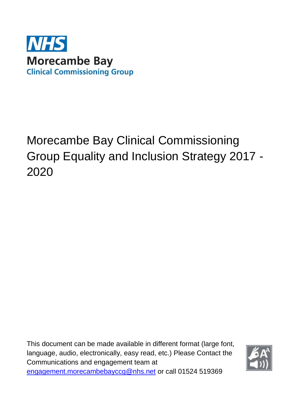

## Morecambe Bay Clinical Commissioning Group Equality and Inclusion Strategy 2017 - 2020

This document can be made available in different format (large font, language, audio, electronically, easy read, etc.) Please Contact the Communications and engagement team at [engagement.morecambebayccg@nhs.net](mailto:engagement.morecambebayccg@nhs.net) or call 01524 519369

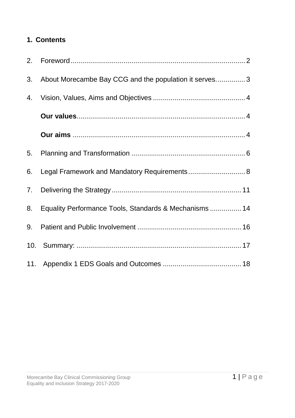## **1. Contents**

| 2. |                                                        |  |
|----|--------------------------------------------------------|--|
| 3. | About Morecambe Bay CCG and the population it serves3  |  |
| 4. |                                                        |  |
|    |                                                        |  |
|    |                                                        |  |
| 5. |                                                        |  |
| 6. | Legal Framework and Mandatory Requirements 8           |  |
| 7. |                                                        |  |
| 8. | Equality Performance Tools, Standards & Mechanisms  14 |  |
| 9. |                                                        |  |
|    |                                                        |  |
|    |                                                        |  |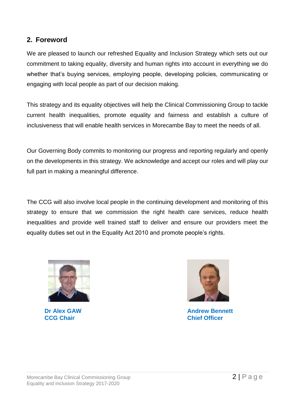## <span id="page-2-0"></span>**2. Foreword**

We are pleased to launch our refreshed Equality and Inclusion Strategy which sets out our commitment to taking equality, diversity and human rights into account in everything we do whether that's buying services, employing people, developing policies, communicating or engaging with local people as part of our decision making.

This strategy and its equality objectives will help the Clinical Commissioning Group to tackle current health inequalities, promote equality and fairness and establish a culture of inclusiveness that will enable health services in Morecambe Bay to meet the needs of all.

Our Governing Body commits to monitoring our progress and reporting regularly and openly on the developments in this strategy. We acknowledge and accept our roles and will play our full part in making a meaningful difference.

The CCG will also involve local people in the continuing development and monitoring of this strategy to ensure that we commission the right health care services, reduce health inequalities and provide well trained staff to deliver and ensure our providers meet the equality duties set out in the Equality Act 2010 and promote people's rights.



**CCG Chair Chief Officer** 



**Dr Alex GAW Andrew Bennett**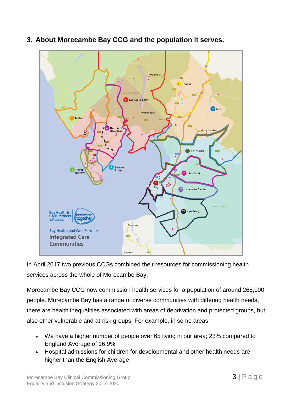

<span id="page-3-0"></span>**3. About Morecambe Bay CCG and the population it serves.**

In April 2017 two previous CCGs combined their resources for commissioning health services across the whole of Morecambe Bay.

Morecambe Bay CCG now commission health services for a population of around 265,000 people. Morecambe Bay has a range of diverse communities with differing health needs, there are health inequalities associated with areas of deprivation and protected groups, but also other vulnerable and at-risk groups. For example, in some areas

- We have a higher number of people over 65 living in our area; 23% compared to England Average of 16.9%
- Hospital admissions for children for developmental and other health needs are higher than the English Average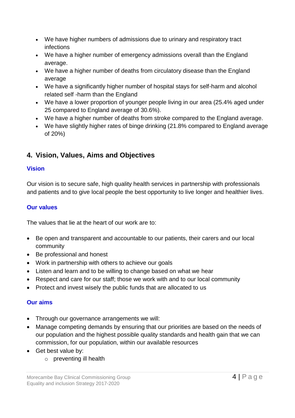- We have higher numbers of admissions due to urinary and respiratory tract infections
- We have a higher number of emergency admissions overall than the England average.
- We have a higher number of deaths from circulatory disease than the England average
- We have a significantly higher number of hospital stays for self-harm and alcohol related self -harm than the England
- We have a lower proportion of younger people living in our area (25.4% aged under 25 compared to England average of 30.6%).
- We have a higher number of deaths from stroke compared to the England average.
- We have slightly higher rates of binge drinking (21.8% compared to England average of 20%)

## <span id="page-4-0"></span>**4. Vision, Values, Aims and Objectives**

#### **Vision**

Our vision is to secure safe, high quality health services in partnership with professionals and patients and to give local people the best opportunity to live longer and healthier lives.

#### <span id="page-4-1"></span>**Our values**

The values that lie at the heart of our work are to:

- Be open and transparent and accountable to our patients, their carers and our local community
- Be professional and honest
- Work in partnership with others to achieve our goals
- Listen and learn and to be willing to change based on what we hear
- Respect and care for our staff; those we work with and to our local community
- Protect and invest wisely the public funds that are allocated to us

#### <span id="page-4-2"></span>**Our aims**

- Through our governance arrangements we will:
- Manage competing demands by ensuring that our priorities are based on the needs of our population and the highest possible quality standards and health gain that we can commission, for our population, within our available resources
- Get best value by:
	- o preventing ill health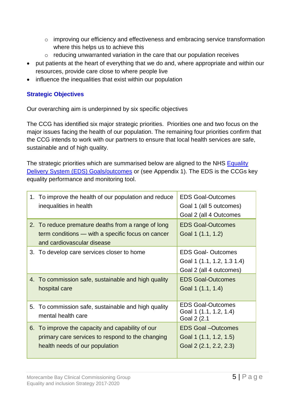- o improving our efficiency and effectiveness and embracing service transformation where this helps us to achieve this
- o reducing unwarranted variation in the care that our population receives
- put patients at the heart of everything that we do and, where appropriate and within our resources, provide care close to where people live
- influence the inequalities that exist within our population

#### **Strategic Objectives**

Our overarching aim is underpinned by six specific objectives

The CCG has identified six major strategic priorities. Priorities one and two focus on the major issues facing the health of our population. The remaining four priorities confirm that the CCG intends to work with our partners to ensure that local health services are safe, sustainable and of high quality.

The strategic priorities which are summarised below are aligned to the NHS Equality [Delivery System \(EDS\) Goals/outcomes](http://www.yourcareourpriority.nhs.uk/) or (see Appendix 1). The EDS is the CCGs key equality performance and monitoring tool.

|    | 1. To improve the health of our population and reduce<br>inequalities in health                                                        | <b>EDS Goal-Outcomes</b><br>Goal 1 (all 5 outcomes)<br>Goal 2 (all 4 Outcomes     |
|----|----------------------------------------------------------------------------------------------------------------------------------------|-----------------------------------------------------------------------------------|
|    | 2. To reduce premature deaths from a range of long<br>term conditions — with a specific focus on cancer<br>and cardiovascular disease  | <b>EDS Goal-Outcomes</b><br>Goal 1 (1.1, 1.2)                                     |
|    | 3. To develop care services closer to home                                                                                             | <b>EDS Goal-Outcomes</b><br>Goal 1 (1.1, 1.2, 1.3 1.4)<br>Goal 2 (all 4 outcomes) |
|    | 4. To commission safe, sustainable and high quality<br>hospital care                                                                   | <b>EDS Goal-Outcomes</b><br>Goal 1 (1.1, 1.4)                                     |
| 5. | To commission safe, sustainable and high quality<br>mental health care                                                                 | <b>EDS Goal-Outcomes</b><br>Goal 1 (1.1, 1.2, 1.4)<br>Goal 2 (2.1                 |
|    | 6. To improve the capacity and capability of our<br>primary care services to respond to the changing<br>health needs of our population | <b>EDS Goal-Outcomes</b><br>Goal 1 (1.1, 1.2, 1.5)<br>Goal 2 (2.1, 2.2, 2.3)      |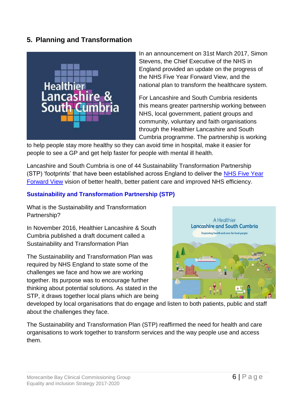## <span id="page-6-0"></span>**5. Planning and Transformation**



In an announcement on 31st March 2017, Simon Stevens, the Chief Executive of the NHS in England provided an update on the progress of the NHS Five Year Forward View, and the national plan to transform the healthcare system.

For Lancashire and South Cumbria residents this means greater partnership working between NHS, local government, patient groups and community, voluntary and faith organisations through the Healthier Lancashire and South Cumbria programme. The partnership is working

to help people stay more healthy so they can avoid time in hospital, make it easier for people to see a GP and get help faster for people with mental ill health.

Lancashire and South Cumbria is one of 44 Sustainability Transformation Partnership (STP) 'footprints' that have been established across England to deliver the [NHS Five Year](https://www.england.nhs.uk/about/equality/equality-hub/eds/)  [Forward View](https://www.england.nhs.uk/about/equality/equality-hub/eds/) vision of better health, better patient care and improved NHS efficiency.

#### **Sustainability and Transformation Partnership (STP)**

What is the Sustainability and Transformation Partnership?

In November 2016, Healthier Lancashire & South Cumbria published a draft document called a Sustainability and Transformation Plan

The Sustainability and Transformation Plan was required by NHS England to state some of the challenges we face and how we are working together. Its purpose was to encourage further thinking about potential solutions. As stated in the STP, it draws together local plans which are being



developed by local organisations that do engage and listen to both patients, public and staff about the challenges they face.

The Sustainability and Transformation Plan (STP) reaffirmed the need for health and care organisations to work together to transform services and the way people use and access them.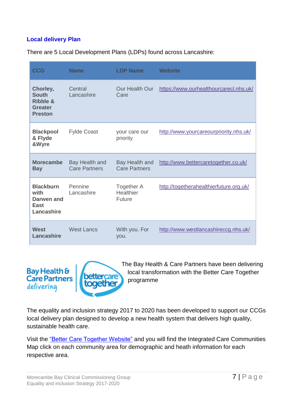#### **Local delivery Plan**

There are 5 Local Development Plans (LDPs) found across Lancashire:

| <b>CCG</b>                                                                          | <b>Name</b>                            | <b>LDP Name</b>                          | <b>Website</b>                          |
|-------------------------------------------------------------------------------------|----------------------------------------|------------------------------------------|-----------------------------------------|
| Chorley,<br><b>South</b><br><b>Ribble &amp;</b><br><b>Greater</b><br><b>Preston</b> | Central<br>Lancashire                  | Our Health Our<br>Care                   | https://www.ourhealthourcarecl.nhs.uk/  |
| <b>Blackpool</b><br>& Flyde<br>&Wyre                                                | <b>Fylde Coast</b>                     | your care our<br>priority                | http://www.yourcareourpriority.nhs.uk/  |
| <b>Morecambe</b><br><b>Bay</b>                                                      | Bay Health and<br><b>Care Partners</b> | Bay Health and<br><b>Care Partners</b>   | http://www.bettercaretogether.co.uk/    |
| <b>Blackburn</b><br>with<br>Darwen and<br>East<br>Lancashire                        | Pennine<br>Lancashire                  | <b>Together A</b><br>Healthier<br>Future | http://togetherahealthierfuture.org.uk/ |
| West<br>Lancashire                                                                  | <b>West Lancs</b>                      | With you. For<br>you.                    | http://www.westlancashireccg.nhs.uk/    |



 The Bay Health & Care Partners have been delivering local transformation with the Better Care Together programme

The equality and inclusion strategy 2017 to 2020 has been developed to support our CCGs local delivery plan designed to develop a new health system that delivers high quality, sustainable health care.

Visit the ["Better Care Together Website"](https://www.gov.uk/government/publications/health-and-social-care-act-2012-fact-sheets?PID=18&ID=19) and you will find the Integrated Care Communities Map click on each community area for demographic and heath information for each respective area.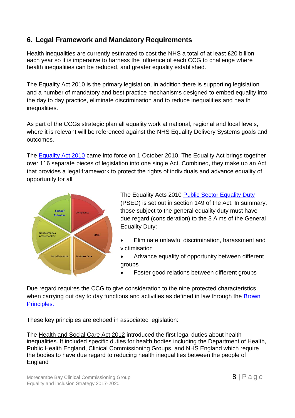## <span id="page-8-0"></span>**6. Legal Framework and Mandatory Requirements**

Health inequalities are currently estimated to cost the NHS a total of at least £20 billion each year so it is imperative to harness the influence of each CCG to challenge where health inequalities can be reduced, and greater equality established.

The Equality Act 2010 is the primary legislation, in addition there is supporting legislation and a number of mandatory and best practice mechanisms designed to embed equality into the day to day practice, eliminate discrimination and to reduce inequalities and health inequalities.

As part of the CCGs strategic plan all equality work at national, regional and local levels, where it is relevant will be referenced against the NHS Equality Delivery Systems goals and outcomes.

The [Equality Act 2010](https://www.gov.uk/government/publications/the-nhs-constitution-for-england) came into force on 1 October 2010. The Equality Act brings together over 116 separate pieces of legislation into one single Act. Combined, they make up an Act that provides a legal framework to protect the rights of individuals and advance equality of opportunity for all



The Equality Acts 2010 [Public Sector Equality Duty](http://www.westlancashireccg.nhs.uk/) (PSED) is set out in section 149 of the Act. In summary, those subject to the general equality duty must have due regard (consideration) to the 3 Aims of the General Equality Duty:

- Eliminate unlawful discrimination, harassment and victimisation
- Advance equality of opportunity between different groups
	- Foster good relations between different groups

Due regard requires the CCG to give consideration to the nine protected characteristics when carrying out day to day functions and activities as defined in law through the Brown [Principles.](http://www.bettercaretogether.co.uk/) 

These key principles are echoed in associated legislation:

The [Health](https://www.england.nhs.uk/five-year-forward-view/) and Social Care Act 2012 introduced the first legal duties about health inequalities. It included specific duties for health bodies including the Department of Health, Public Health England, Clinical Commissioning Groups, and NHS England which require the bodies to have due regard to reducing health inequalities between the people of England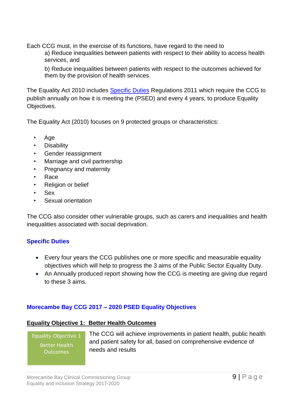Each CCG must, in the exercise of its functions, have regard to the need to a) Reduce inequalities between patients with respect to their ability to access health services, and

b) Reduce inequalities between patients with respect to the outcomes achieved for them by the provision of health services.

The Equality Act 2010 includes [Specific Duties](https://www.equalityhumanrights.com/en/advice-and-guidance/public-sector-equality-duty) Regulations 2011 which require the CCG to publish annually on how it is meeting the (PSED) and every 4 years, to produce Equality Objectives.

The Equality Act (2010) focuses on 9 protected groups or characteristics:

- Age
- **Disability**
- Gender reassignment
- Marriage and civil partnership
- Pregnancy and maternity
- Race
- Religion or belief
- **Sex**
- Sexual orientation

The CCG also consider other vulnerable groups, such as carers and inequalities and health inequalities associated with social deprivation.

#### **Specific Duties**

- Every four years the CCG publishes one or more specific and measurable equality objectives which will help to progress the 3 aims of the Public Sector Equality Duty.
- An Annually produced report showing how the CCG is meeting are giving due regard to these 3 aims.

#### **Morecambe Bay CCG 2017 – 2020 PSED Equality Objectives**

#### **Equality Objective 1: Better Health Outcomes**

Equality Objective 1 **Better Health Outcomes** 

The CCG will achieve improvements in patient health, public health and patient safety for all, based on comprehensive evidence of needs and results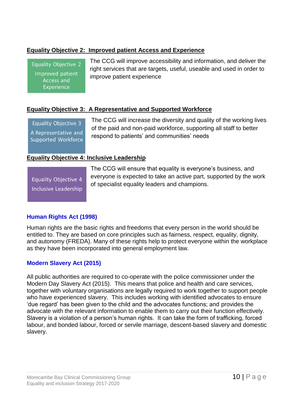#### **Equality Objective 2: Improved patient Access and Experience**

**Equality Objective 2** Improved patient Access and Experience

The CCG will improve accessibility and information, and deliver the right services that are targets, useful, useable and used in order to improve patient experience

## **Equality Objective 3: A Representative and Supported Workforce**

Equality Objective 3 A Representative and **Supported Workforce**  The CCG will increase the diversity and quality of the working lives of the paid and non-paid workforce, supporting all staff to better respond to patients' and communities' needs

#### **Equality Objective 4: Inclusive Leadership**

**Equality Objective 4** Inclusive Leadership The CCG will ensure that equality is everyone's business, and everyone is expected to take an active part, supported by the work of specialist equality leaders and champions.

#### **Human Rights Act (1998)**

Human rights are the basic rights and freedoms that every person in the world should be entitled to. They are based on core principles such as fairness, respect, equality, dignity, and autonomy (FREDA). Many of these rights help to protect everyone within the workplace as they have been incorporated into general employment law.

#### **Modern Slavery Act (2015)**

All public authorities are required to co-operate with the police commissioner under the Modern Day Slavery Act (2015). This means that police and health and care services, together with voluntary organisations are legally required to work together to support people who have experienced slavery. This includes working with identified advocates to ensure 'due regard' has been given to the child and the advocates functions; and provides the advocate with the relevant information to enable them to carry out their function effectively. Slavery is a violation of a person's human rights. It can take the form of trafficking, forced labour, and bonded labour, forced or servile marriage, descent-based slavery and domestic slavery.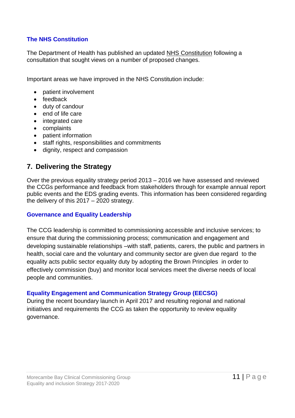#### **The NHS Constitution**

The Department of Health has published an updated NHS [Constitution](https://www.gov.uk/government/uploads/system/uploads/attachment_data/file/85049/specific-duties.pdf) following a consultation that sought views on a number of proposed changes.

Important areas we have improved in the NHS Constitution include:

- patient involvement
- feedback
- duty of candour
- end of life care
- integrated care
- complaints
- patient information
- staff rights, responsibilities and commitments
- dignity, respect and compassion

## <span id="page-11-0"></span>**7. Delivering the Strategy**

Over the previous equality strategy period 2013 – 2016 we have assessed and reviewed the CCGs performance and feedback from stakeholders through for example annual report public events and the EDS grading events. This information has been considered regarding the delivery of this 2017 – 2020 strategy.

#### **Governance and Equality Leadership**

The CCG leadership is committed to commissioning accessible and inclusive services; to ensure that during the commissioning process; communication and engagement and developing sustainable relationships –with staff, patients, carers, the public and partners in health, social care and the voluntary and community sector are given due regard to the equality acts public sector equality duty by adopting the Brown Principles in order to effectively commission (buy) and monitor local services meet the diverse needs of local people and communities.

#### **Equality Engagement and Communication Strategy Group (EECSG)**

During the recent boundary launch in April 2017 and resulting regional and national initiatives and requirements the CCG as taken the opportunity to review equality governance.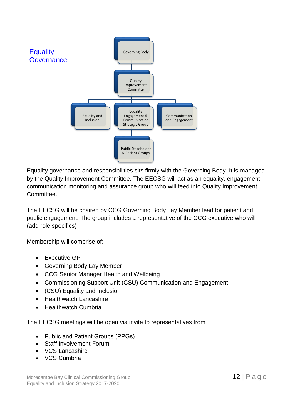

Equality governance and responsibilities sits firmly with the Governing Body. It is managed by the Quality Improvement Committee. The EECSG will act as an equality, engagement communication monitoring and assurance group who will feed into Quality Improvement Committee.

The EECSG will be chaired by CCG Governing Body Lay Member lead for patient and public engagement. The group includes a representative of the CCG executive who will (add role specifics)

Membership will comprise of:

- Executive GP
- Governing Body Lay Member
- CCG Senior Manager Health and Wellbeing
- Commissioning Support Unit (CSU) Communication and Engagement
- (CSU) Equality and Inclusion
- Healthwatch Lancashire
- Healthwatch Cumbria

The EECSG meetings will be open via invite to representatives from

- Public and Patient Groups (PPGs)
- Staff Involvement Forum
- VCS Lancashire
- VCS Cumbria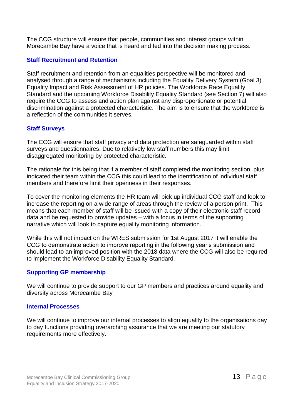The CCG structure will ensure that people, communities and interest groups within Morecambe Bay have a voice that is heard and fed into the decision making process.

#### **Staff Recruitment and Retention**

Staff recruitment and retention from an equalities perspective will be monitored and analysed through a range of mechanisms including the Equality Delivery System (Goal 3) Equality Impact and Risk Assessment of HR policies. The Workforce Race Equality Standard and the upcoming Workforce Disability Equality Standard (see Section 7) will also require the CCG to assess and action plan against any disproportionate or potential discrimination against a protected characteristic. The aim is to ensure that the workforce is a reflection of the communities it serves.

#### **Staff Surveys**

The CCG will ensure that staff privacy and data protection are safeguarded within staff surveys and questionnaires. Due to relatively low staff numbers this may limit disaggregated monitoring by protected characteristic.

The rationale for this being that if a member of staff completed the monitoring section, plus indicated their team within the CCG this could lead to the identification of individual staff members and therefore limit their openness in their responses.

To cover the monitoring elements the HR team will pick up individual CCG staff and look to increase the reporting on a wide range of areas through the review of a person print. This means that each member of staff will be issued with a copy of their electronic staff record data and be requested to provide updates – with a focus in terms of the supporting narrative which will look to capture equality monitoring information.

While this will not impact on the WRES submission for 1st August 2017 it will enable the CCG to demonstrate action to improve reporting in the following year's submission and should lead to an improved position with the 2018 data where the CCG will also be required to implement the Workforce Disability Equality Standard.

#### **Supporting GP membership**

We will continue to provide support to our GP members and practices around equality and diversity across Morecambe Bay

#### **Internal Processes**

We will continue to improve our internal processes to align equality to the organisations day to day functions providing overarching assurance that we are meeting our statutory requirements more effectively.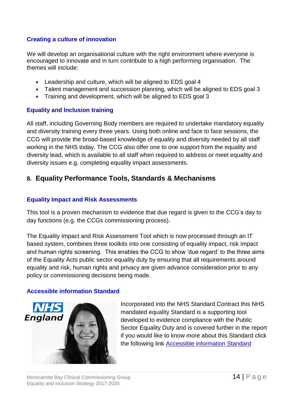#### **Creating a culture of innovation**

We will develop an organisational culture with the right environment where everyone is encouraged to innovate and in turn contribute to a high performing organisation. The themes will include:

- Leadership and culture, which will be aligned to EDS goal 4
- Talent management and succession planning, which will be aligned to EDS goal 3
- Training and development, which will be aligned to EDS goal 3

#### **Equality and Inclusion training**

All staff, including Governing Body members are required to undertake mandatory equality and diversity training every three years. Using both online and face to face sessions, the CCG will provide the broad-based knowledge of equality and diversity needed by all staff working in the NHS today. The CCG also offer one to one support from the equality and diversity lead, which is available to all staff when required to address or meet equality and diversity issues e.g. completing equality impact assessments.

## <span id="page-14-0"></span>**8. Equality Performance Tools, Standards & Mechanisms**

#### **Equality Impact and Risk Assessments**

This tool is a proven mechanism to evidence that due regard is given to the CCG's day to day functions (e.g. the CCGs commissioning process).

The Equality Impact and Risk Assessment Tool which is now processed through an IT based system, combines three toolkits into one consisting of equality impact, risk impact and human rights screening. This enables the CCG to show 'due regard' to the three aims of the Equality Acts public sector equality duty by ensuring that all requirements around equality and risk, human rights and privacy are given advance consideration prior to any policy or commissioning decisions being made.

#### **Accessible information Standard**



Incorporated into the NHS Standard Contract this NHS mandated equality Standard is a supporting tool developed to evidence compliance with the Public Sector Equality Duty and is covered further in the report if you would like to know more about this Standard click the following link [Accessible information Standard](http://www.bettercaretogether.co.uk/page.aspx)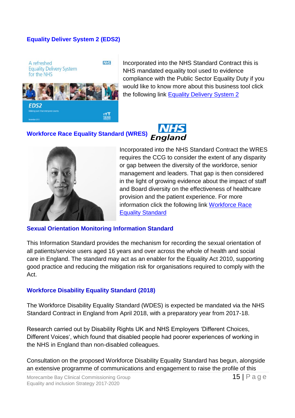#### **Equality Deliver System 2 (EDS2)**

A refreshed **Equality Delivery System** for the NHS



Incorporated into the NHS Standard Contract this is NHS mandated equality tool used to evidence compliance with the Public Sector Equality Duty if you would like to know more about this business tool click the following link [Equality Delivery System 2](http://togetherahealthierfuture.org.uk/)

# **Workforce Race Equality Standard (WRES)**

**NHS** 



Incorporated into the NHS Standard Contract the WRES requires the CCG to consider the extent of any disparity or gap between the diversity of the workforce, senior management and leaders. That gap is then considered in the light of growing evidence about the impact of staff and Board diversity on the effectiveness of healthcare provision and the patient experience. For more information click the following link [Workforce Race](http://www.moray.gov.uk/downloads/file89347.pdf)  [Equality Standard](http://www.moray.gov.uk/downloads/file89347.pdf)

#### **Sexual Orientation Monitoring Information Standard**

This Information Standard provides the mechanism for recording the sexual orientation of all patients/service users aged 16 years and over across the whole of health and social care in England. The standard may act as an enabler for the Equality Act 2010, supporting good practice and reducing the mitigation risk for organisations required to comply with the Act.

#### **Workforce Disability Equality Standard (2018)**

The Workforce Disability Equality Standard (WDES) is expected be mandated via the NHS Standard Contract in England from April 2018, with a preparatory year from 2017-18.

Research carried out by Disability Rights UK and NHS Employers 'Different Choices, Different Voices', which found that disabled people had poorer experiences of working in the NHS in England than non-disabled colleagues.

Consultation on the proposed Workforce Disability Equality Standard has begun, alongside an extensive programme of communications and engagement to raise the profile of this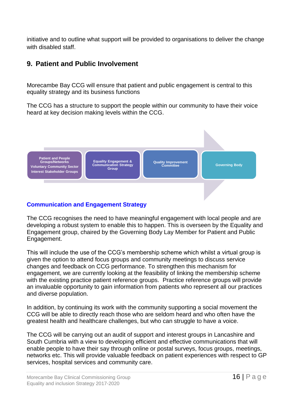initiative and to outline what support will be provided to organisations to deliver the change with disabled staff.

## <span id="page-16-0"></span>**9. Patient and Public Involvement**

Morecambe Bay CCG will ensure that patient and public engagement is central to this equality strategy and its business functions

The CCG has a structure to support the people within our community to have their voice heard at key decision making levels within the CCG.



## **Communication and Engagement Strategy**

The CCG recognises the need to have meaningful engagement with local people and are developing a robust system to enable this to happen. This is overseen by the Equality and Engagement group, chaired by the Governing Body Lay Member for Patient and Public Engagement.

This will include the use of the CCG's membership scheme which whilst a virtual group is given the option to attend focus groups and community meetings to discuss service changes and feedback on CCG performance. To strengthen this mechanism for engagement, we are currently looking at the feasibility of linking the membership scheme with the existing practice patient reference groups. Practice reference groups will provide an invaluable opportunity to gain information from patients who represent all our practices and diverse population.

In addition, by continuing its work with the community supporting a social movement the CCG will be able to directly reach those who are seldom heard and who often have the greatest health and healthcare challenges, but who can struggle to have a voice.

The CCG will be carrying out an audit of support and interest groups in Lancashire and South Cumbria with a view to developing efficient and effective communications that will enable people to have their say through online or postal surveys, focus groups, meetings, networks etc. This will provide valuable feedback on patient experiences with respect to GP services, hospital services and community care.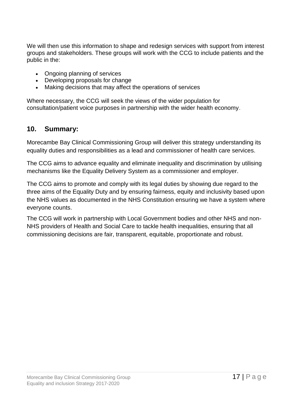We will then use this information to shape and redesign services with support from interest groups and stakeholders. These groups will work with the CCG to include patients and the public in the:

- Ongoing planning of services
- Developing proposals for change
- Making decisions that may affect the operations of services

Where necessary, the CCG will seek the views of the wider population for consultation/patient voice purposes in partnership with the wider health economy.

## <span id="page-17-0"></span>**10. Summary:**

Morecambe Bay Clinical Commissioning Group will deliver this strategy understanding its equality duties and responsibilities as a lead and commissioner of health care services.

The CCG aims to advance equality and eliminate inequality and discrimination by utilising mechanisms like the Equality Delivery System as a commissioner and employer.

The CCG aims to promote and comply with its legal duties by showing due regard to the three aims of the Equality Duty and by ensuring fairness, equity and inclusivity based upon the NHS values as documented in the NHS Constitution ensuring we have a system where everyone counts.

<span id="page-17-1"></span>The CCG will work in partnership with Local Government bodies and other NHS and non-NHS providers of Health and Social Care to tackle health inequalities, ensuring that all commissioning decisions are fair, transparent, equitable, proportionate and robust.